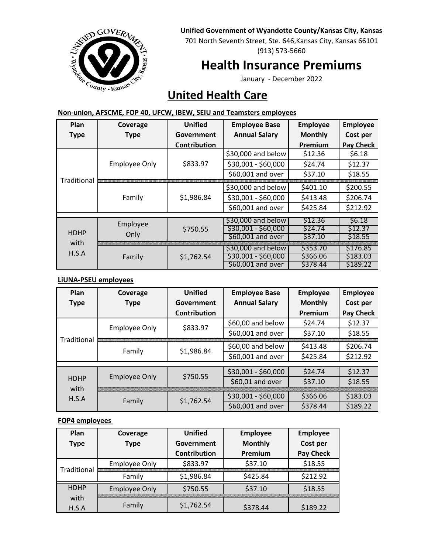#### **Unified Government of Wyandotte County/Kansas City, Kansas**



701 North Seventh Street, Ste. 646,Kansas City, Kansas 66101 (913) 573-5660

# **Health Insurance Premiums**

January - December 2022

# **United Health Care**

| Plan                         | Coverage                         | <b>Unified</b>      | <b>Employee Base</b> | <b>Employee</b> | <b>Employee</b>  |
|------------------------------|----------------------------------|---------------------|----------------------|-----------------|------------------|
| <b>Type</b>                  | <b>Type</b>                      | Government          | <b>Annual Salary</b> | <b>Monthly</b>  | Cost per         |
|                              |                                  | <b>Contribution</b> |                      | Premium         | <b>Pay Check</b> |
| Traditional                  | \$833.97<br><b>Employee Only</b> |                     | \$30,000 and below   | \$12.36         | \$6.18           |
|                              |                                  | \$30,001 - \$60,000 | \$24.74              | \$12.37         |                  |
|                              |                                  |                     | \$60,001 and over    | \$37.10         | \$18.55          |
|                              | Family                           | \$1,986.84          | \$30,000 and below   | \$401.10        | \$200.55         |
|                              |                                  |                     | \$30,001 - \$60,000  | \$413.48        | \$206.74         |
|                              |                                  |                     | \$60,001 and over    | \$425.84        | \$212.92         |
|                              |                                  |                     |                      | S6.18           |                  |
| <b>HDHP</b><br>with<br>H.S.A | Employee                         |                     | \$30,000 and below   | \$12.36         |                  |
|                              |                                  | \$750.55            | $$30,001 - $60,000$  | \$24.74         | \$12.37          |
|                              | Only                             |                     | \$60,001 and over    | \$37.10         | \$18.55          |
|                              |                                  |                     | \$30,000 and below   | \$353.70        | \$176.85         |
|                              |                                  |                     | $$30,001 - $60,000$  | \$366.06        | \$183.03         |
|                              | Family                           | \$1,762.54          |                      |                 |                  |
|                              |                                  |                     | \$60,001 and over    | \$378.44        | \$189.22         |

### **Non-union, AFSCME, FOP 40, UFCW, IBEW, SEIU and Teamsters employees**

#### **LiUNA-PSEU employees**

| Plan                         | Coverage             | <b>Unified</b>      | <b>Employee Base</b> | <b>Employee</b> | <b>Employee</b>  |
|------------------------------|----------------------|---------------------|----------------------|-----------------|------------------|
| <b>Type</b>                  | <b>Type</b>          | Government          | <b>Annual Salary</b> | <b>Monthly</b>  | Cost per         |
|                              |                      | <b>Contribution</b> |                      | Premium         | <b>Pay Check</b> |
| Traditional                  | <b>Employee Only</b> | \$833.97            | \$60,00 and below    | \$24.74         | \$12.37          |
|                              |                      |                     | \$60,001 and over    | \$37.10         | \$18.55          |
|                              | Family               | \$1,986.84          | \$60,00 and below    | \$413.48        | \$206.74         |
|                              |                      |                     | \$60,001 and over    | \$425.84        | \$212.92         |
|                              |                      |                     |                      |                 |                  |
| <b>HDHP</b><br>with<br>H.S.A | <b>Employee Only</b> | \$750.55            | \$30,001 - \$60,000  | \$24.74         | \$12.37          |
|                              |                      |                     | \$60,01 and over     | \$37.10         | \$18.55          |
|                              | \$1,762.54<br>Family |                     | \$30,001 - \$60,000  | \$366.06        | \$183.03         |
|                              |                      |                     | \$60,001 and over    | \$378.44        | \$189.22         |

### **FOP4 employees**

| Plan                         | Coverage             | Unified             | <b>Employee</b> | <b>Employee</b>  |
|------------------------------|----------------------|---------------------|-----------------|------------------|
| <b>Type</b>                  | <b>Type</b>          | Government          | <b>Monthly</b>  | Cost per         |
|                              |                      | <b>Contribution</b> | Premium         | <b>Pay Check</b> |
| Traditional                  | <b>Employee Only</b> | \$833.97            | \$37.10         | \$18.55          |
|                              | Family               | \$1,986.84          | \$425.84        | \$212.92         |
| <b>HDHP</b><br>with<br>H.S.A | <b>Employee Only</b> | \$750.55            | \$37.10         | \$18.55          |
|                              | Family               | \$1,762.54          | \$378.44        | \$189.22         |